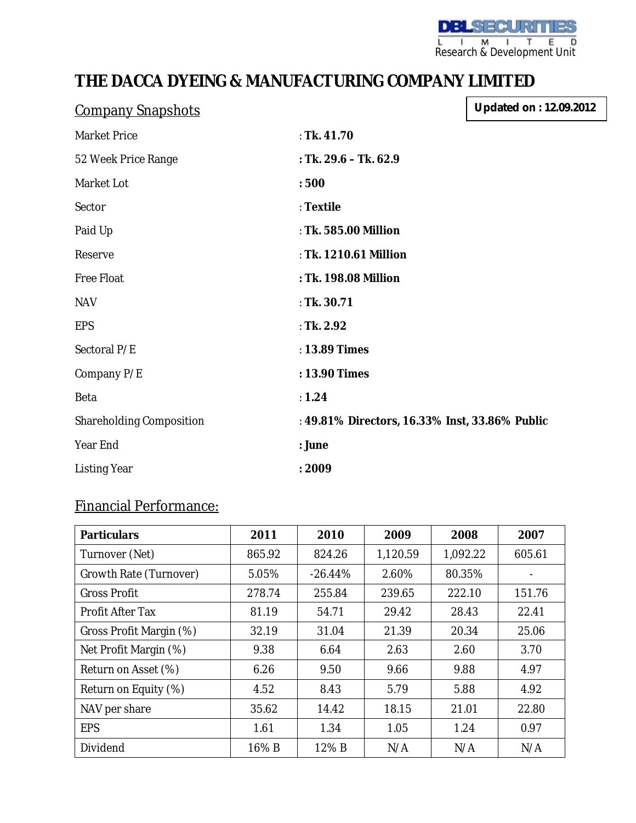**DBLSECURITIES** L I M I T E D<br>Research & Development Unit

## **THE DACCA DYEING & MANUFACTURING COMPANY LIMITED**

| <b>Company Snapshots</b> | <b>Updated on: 12.09.2012</b>                  |  |
|--------------------------|------------------------------------------------|--|
| Market Price             | : Tk. 41.70                                    |  |
| 52 Week Price Range      | : Tk. 29.6 - Tk. 62.9                          |  |
| Market Lot               | :500                                           |  |
| Sector                   | : Textile                                      |  |
| Paid Up                  | : Tk. 585.00 Million                           |  |
| Reserve                  | : Tk. 1210.61 Million                          |  |
| Free Float               | : Tk. 198.08 Million                           |  |
| <b>NAV</b>               | : Tk. 30.71                                    |  |
| <b>EPS</b>               | : Tk. 2.92                                     |  |
| Sectoral P/E             | : 13.89 Times                                  |  |
| Company P/E              | : 13.90 Times                                  |  |
| Beta                     | : $1.24$                                       |  |
| Shareholding Composition | : 49.81% Directors, 16.33% Inst, 33.86% Public |  |
| Year End                 | : June                                         |  |
| <b>Listing Year</b>      | : 2009                                         |  |

## Financial Performance:

| <b>Particulars</b>      | 2011   | 2010      | 2009     | 2008     | 2007   |
|-------------------------|--------|-----------|----------|----------|--------|
| Turnover (Net)          | 865.92 | 824.26    | 1,120.59 | 1,092.22 | 605.61 |
| Growth Rate (Turnover)  | 5.05%  | $-26.44%$ | 2.60%    | 80.35%   |        |
| <b>Gross Profit</b>     | 278.74 | 255.84    | 239.65   | 222.10   | 151.76 |
| Profit After Tax        | 81.19  | 54.71     | 29.42    | 28.43    | 22.41  |
| Gross Profit Margin (%) | 32.19  | 31.04     | 21.39    | 20.34    | 25.06  |
| Net Profit Margin (%)   | 9.38   | 6.64      | 2.63     | 2.60     | 3.70   |
| Return on Asset (%)     | 6.26   | 9.50      | 9.66     | 9.88     | 4.97   |
| Return on Equity (%)    | 4.52   | 8.43      | 5.79     | 5.88     | 4.92   |
| NAV per share           | 35.62  | 14.42     | 18.15    | 21.01    | 22.80  |
| <b>EPS</b>              | 1.61   | 1.34      | 1.05     | 1.24     | 0.97   |
| Dividend                | 16% B  | 12% B     | N/A      | N/A      | N/A    |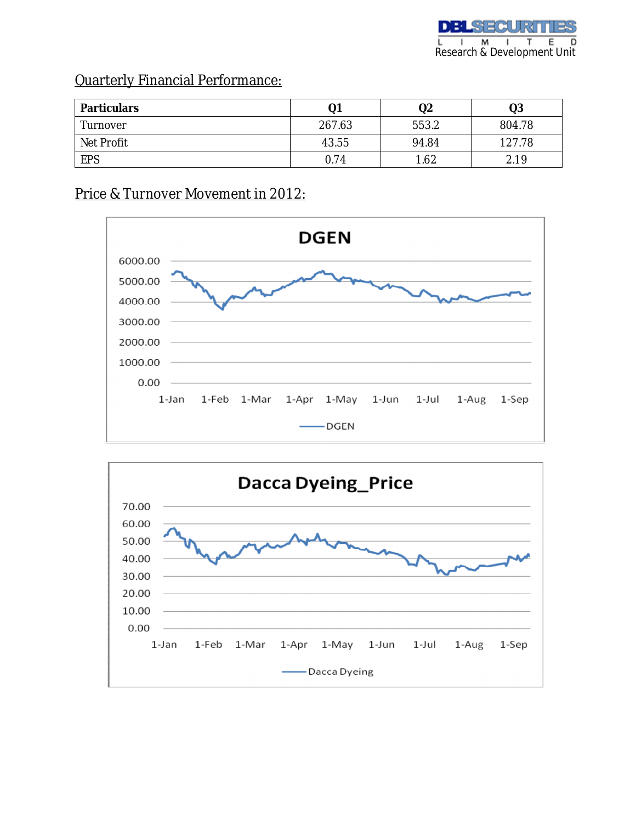## Quarterly Financial Performance:

| <b>Particulars</b> | Q1     | Q2    | Q3     |
|--------------------|--------|-------|--------|
| Turnover           | 267.63 | 553.2 | 804.78 |
| Net Profit         | 43.55  | 94.84 | 127.78 |
| EPS                | 0.74   | 1.62  | 2.19   |

## Price & Turnover Movement in 2012: